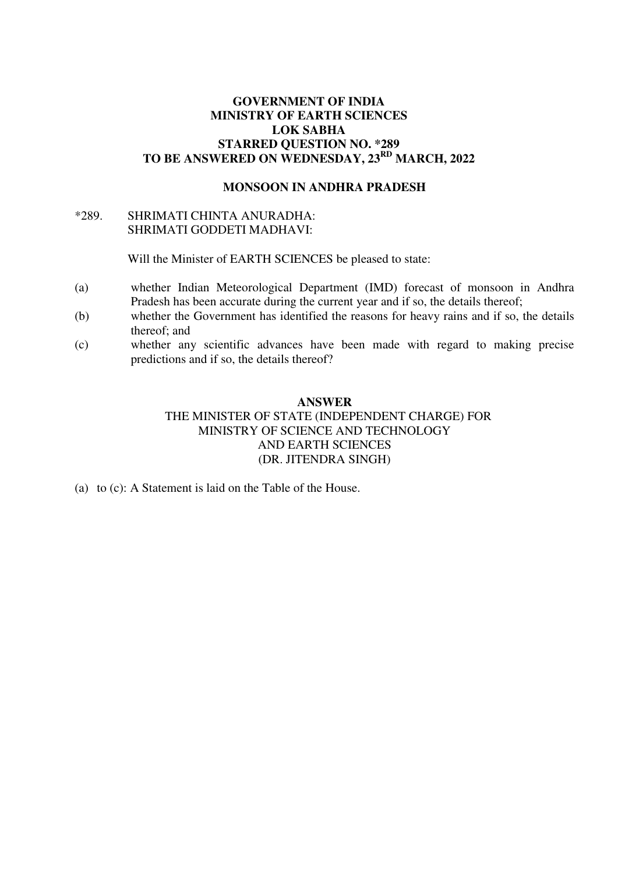# **GOVERNMENT OF INDIA MINISTRY OF EARTH SCIENCES LOK SABHA STARRED QUESTION NO. \*289 TO BE ANSWERED ON WEDNESDAY, 23RD MARCH, 2022**

#### **MONSOON IN ANDHRA PRADESH**

### \*289.SHRIMATI CHINTA ANURADHA: SHRIMATI GODDETI MADHAVI:

Will the Minister of EARTH SCIENCES be pleased to state:

- (a) whether Indian Meteorological Department (IMD) forecast of monsoon in Andhra Pradesh has been accurate during the current year and if so, the details thereof;
- (b) whether the Government has identified the reasons for heavy rains and if so, the details thereof; and
- (c) whether any scientific advances have been made with regard to making precise predictions and if so, the details thereof?

### **ANSWER**

# THE MINISTER OF STATE (INDEPENDENT CHARGE) FOR MINISTRY OF SCIENCE AND TECHNOLOGY AND EARTH SCIENCES (DR. JITENDRA SINGH)

(a) to (c): A Statement is laid on the Table of the House.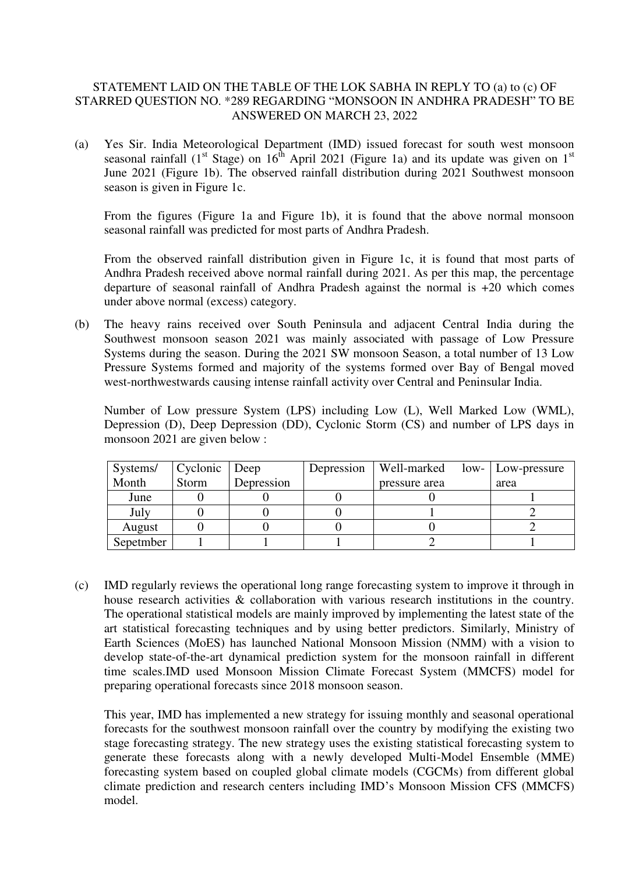# STATEMENT LAID ON THE TABLE OF THE LOK SABHA IN REPLY TO (a) to (c) OF STARRED QUESTION NO. \*289 REGARDING "MONSOON IN ANDHRA PRADESH" TO BE ANSWERED ON MARCH 23, 2022

(a) Yes Sir. India Meteorological Department (IMD) issued forecast for south west monsoon seasonal rainfall (1<sup>st</sup> Stage) on 16<sup>th</sup> April 2021 (Figure 1a) and its update was given on 1<sup>st</sup> June 2021 (Figure 1b). The observed rainfall distribution during 2021 Southwest monsoon season is given in Figure 1c.

From the figures (Figure 1a and Figure 1b**)**, it is found that the above normal monsoon seasonal rainfall was predicted for most parts of Andhra Pradesh.

From the observed rainfall distribution given in Figure 1c, it is found that most parts of Andhra Pradesh received above normal rainfall during 2021. As per this map, the percentage departure of seasonal rainfall of Andhra Pradesh against the normal is +20 which comes under above normal (excess) category.

(b) The heavy rains received over South Peninsula and adjacent Central India during the Southwest monsoon season 2021 was mainly associated with passage of Low Pressure Systems during the season. During the 2021 SW monsoon Season, a total number of 13 Low Pressure Systems formed and majority of the systems formed over Bay of Bengal moved west-northwestwards causing intense rainfall activity over Central and Peninsular India.

Number of Low pressure System (LPS) including Low (L), Well Marked Low (WML), Depression (D), Deep Depression (DD), Cyclonic Storm (CS) and number of LPS days in monsoon 2021 are given below :

| Systems/  | Cyclonic | Deep       | Depression | Well-marked   | low-   Low-pressure |
|-----------|----------|------------|------------|---------------|---------------------|
| Month     | Storm    | Depression |            | pressure area | area                |
| June      |          |            |            |               |                     |
| July      |          |            |            |               |                     |
| August    |          |            |            |               |                     |
| Sepetmber |          |            |            |               |                     |

(c) IMD regularly reviews the operational long range forecasting system to improve it through in house research activities & collaboration with various research institutions in the country. The operational statistical models are mainly improved by implementing the latest state of the art statistical forecasting techniques and by using better predictors. Similarly, Ministry of Earth Sciences (MoES) has launched National Monsoon Mission (NMM) with a vision to develop state-of-the-art dynamical prediction system for the monsoon rainfall in different time scales.IMD used Monsoon Mission Climate Forecast System (MMCFS) model for preparing operational forecasts since 2018 monsoon season.

This year, IMD has implemented a new strategy for issuing monthly and seasonal operational forecasts for the southwest monsoon rainfall over the country by modifying the existing two stage forecasting strategy. The new strategy uses the existing statistical forecasting system to generate these forecasts along with a newly developed Multi-Model Ensemble (MME) forecasting system based on coupled global climate models (CGCMs) from different global climate prediction and research centers including IMD's Monsoon Mission CFS (MMCFS) model.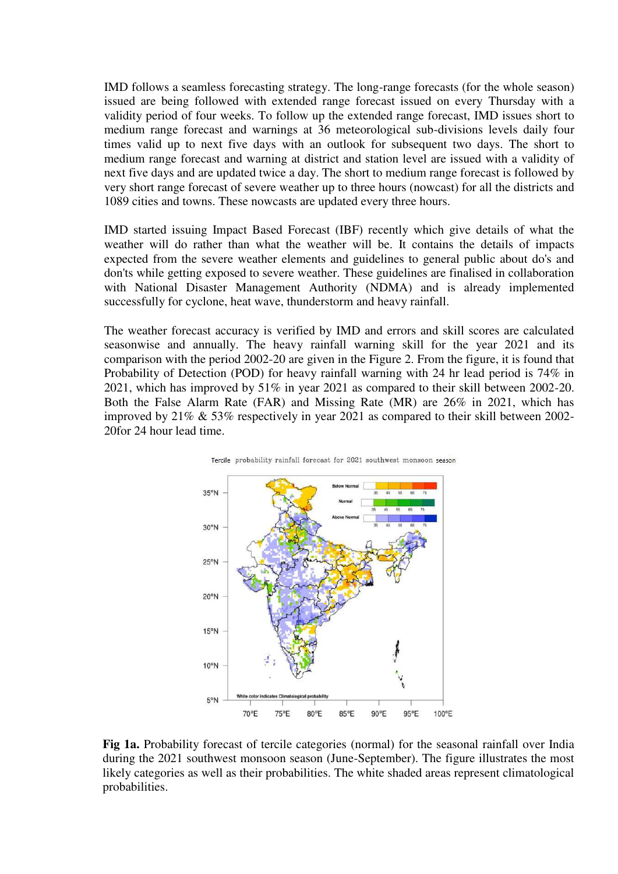IMD follows a seamless forecasting strategy. The long-range forecasts (for the whole season) issued are being followed with extended range forecast issued on every Thursday with a validity period of four weeks. To follow up the extended range forecast, IMD issues short to medium range forecast and warnings at 36 meteorological sub-divisions levels daily four times valid up to next five days with an outlook for subsequent two days. The short to medium range forecast and warning at district and station level are issued with a validity of next five days and are updated twice a day. The short to medium range forecast is followed by very short range forecast of severe weather up to three hours (nowcast) for all the districts and 1089 cities and towns. These nowcasts are updated every three hours.

IMD started issuing Impact Based Forecast (IBF) recently which give details of what the weather will do rather than what the weather will be. It contains the details of impacts expected from the severe weather elements and guidelines to general public about do's and don'ts while getting exposed to severe weather. These guidelines are finalised in collaboration with National Disaster Management Authority (NDMA) and is already implemented successfully for cyclone, heat wave, thunderstorm and heavy rainfall.

The weather forecast accuracy is verified by IMD and errors and skill scores are calculated seasonwise and annually. The heavy rainfall warning skill for the year 2021 and its comparison with the period 2002-20 are given in the Figure 2. From the figure, it is found that Probability of Detection (POD) for heavy rainfall warning with 24 hr lead period is 74% in 2021, which has improved by 51% in year 2021 as compared to their skill between 2002-20. Both the False Alarm Rate (FAR) and Missing Rate (MR) are 26% in 2021, which has improved by 21% & 53% respectively in year 2021 as compared to their skill between 2002- 20for 24 hour lead time.





**Fig 1a.** Probability forecast of tercile categories (normal) for the seasonal rainfall over India during the 2021 southwest monsoon season (June-September). The figure illustrates the most likely categories as well as their probabilities. The white shaded areas represent climatological probabilities.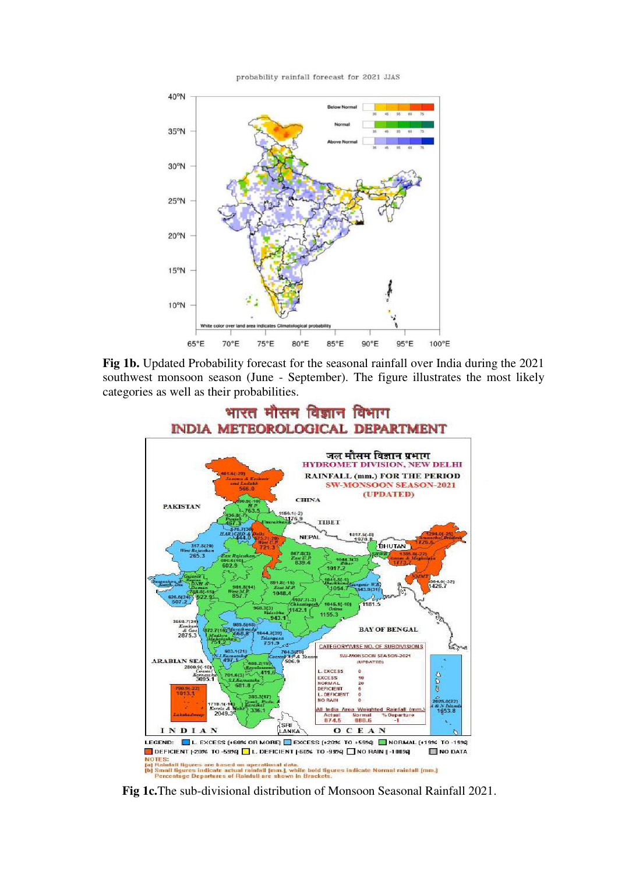probability rainfall forecast for 2021 JJAS



**Fig 1b.** Updated Probability forecast for the seasonal rainfall over India during the 2021 southwest monsoon season (June - September). The figure illustrates the most likely categories as well as their probabilities.